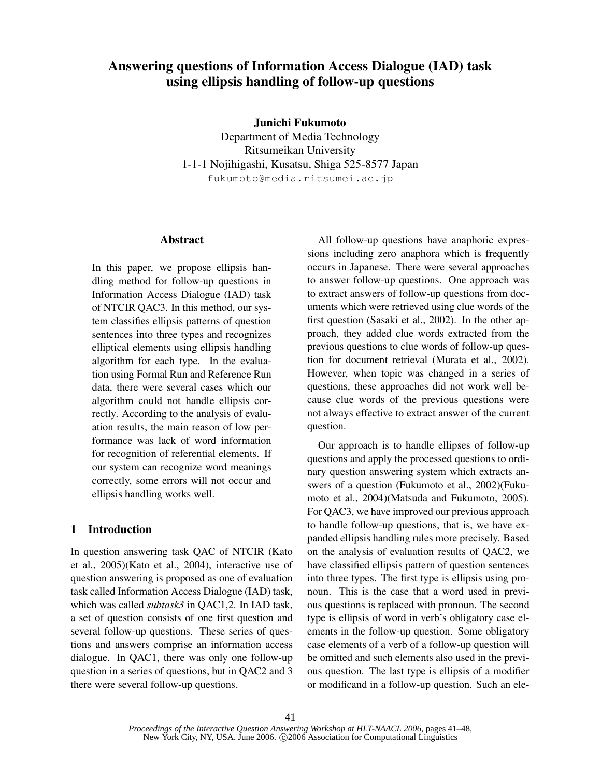# **Answering questions of Information Access Dialogue (IAD) task using ellipsis handling of follow-up questions**

**Junichi Fukumoto**

Department of Media Technology Ritsumeikan University 1-1-1 Nojihigashi, Kusatsu, Shiga 525-8577 Japan fukumoto@media.ritsumei.ac.jp

# **Abstract**

In this paper, we propose ellipsis handling method for follow-up questions in Information Access Dialogue (IAD) task of NTCIR QAC3. In this method, our system classifies ellipsis patterns of question sentences into three types and recognizes elliptical elements using ellipsis handling algorithm for each type. In the evaluation using Formal Run and Reference Run data, there were several cases which our algorithm could not handle ellipsis correctly. According to the analysis of evaluation results, the main reason of low performance was lack of word information for recognition of referential elements. If our system can recognize word meanings correctly, some errors will not occur and ellipsis handling works well.

# **1 Introduction**

In question answering task QAC of NTCIR (Kato et al., 2005)(Kato et al., 2004), interactive use of question answering is proposed as one of evaluation task called Information Access Dialogue (IAD) task, which was called *subtask3* in QAC1,2. In IAD task, a set of question consists of one first question and several follow-up questions. These series of questions and answers comprise an information access dialogue. In QAC1, there was only one follow-up question in a series of questions, but in QAC2 and 3 there were several follow-up questions.

All follow-up questions have anaphoric expressions including zero anaphora which is frequently occurs in Japanese. There were several approaches to answer follow-up questions. One approach was to extract answers of follow-up questions from documents which were retrieved using clue words of the first question (Sasaki et al., 2002). In the other approach, they added clue words extracted from the previous questions to clue words of follow-up question for document retrieval (Murata et al., 2002). However, when topic was changed in a series of questions, these approaches did not work well because clue words of the previous questions were not always effective to extract answer of the current question.

Our approach is to handle ellipses of follow-up questions and apply the processed questions to ordinary question answering system which extracts answers of a question (Fukumoto et al., 2002)(Fukumoto et al., 2004)(Matsuda and Fukumoto, 2005). For QAC3, we have improved our previous approach to handle follow-up questions, that is, we have expanded ellipsis handling rules more precisely. Based on the analysis of evaluation results of QAC2, we have classified ellipsis pattern of question sentences into three types. The first type is ellipsis using pronoun. This is the case that a word used in previous questions is replaced with pronoun. The second type is ellipsis of word in verb's obligatory case elements in the follow-up question. Some obligatory case elements of a verb of a follow-up question will be omitted and such elements also used in the previous question. The last type is ellipsis of a modifier or modificand in a follow-up question. Such an ele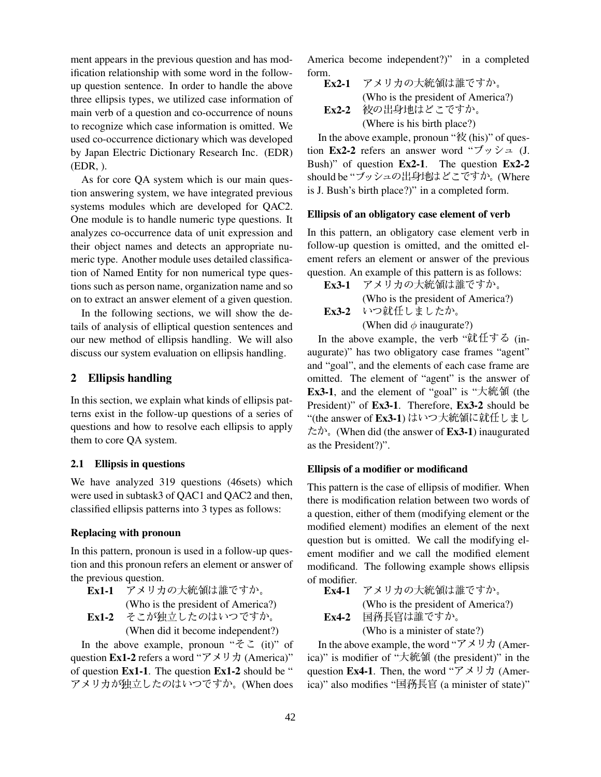ment appears in the previous question and has modification relationship with some word in the followup question sentence. In order to handle the above three ellipsis types, we utilized case information of main verb of a question and co-occurrence of nouns to recognize which case information is omitted. We used co-occurrence dictionary which was developed by Japan Electric Dictionary Research Inc. (EDR) (EDR, ).

As for core QA system which is our main question answering system, we have integrated previous systems modules which are developed for QAC2. One module is to handle numeric type questions. It analyzes co-occurrence data of unit expression and their object names and detects an appropriate numeric type. Another module uses detailed classification of Named Entity for non numerical type questions such as person name, organization name and so on to extract an answer element of a given question.

In the following sections, we will show the details of analysis of elliptical question sentences and our new method of ellipsis handling. We will also discuss our system evaluation on ellipsis handling.

## **2 Ellipsis handling**

In this section, we explain what kinds of ellipsis patterns exist in the follow-up questions of a series of questions and how to resolve each ellipsis to apply them to core QA system.

#### **2.1 Ellipsis in questions**

We have analyzed 319 questions (46sets) which were used in subtask3 of QAC1 and QAC2 and then, classified ellipsis patterns into 3 types as follows:

### **Replacing with pronoun**

In this pattern, pronoun is used in a follow-up question and this pronoun refers an element or answer of the previous question.

- **Ex1-1**  -- (Who is the president of America?) Ex1-2 そこが独立したのはいつですか。
	- (When did it become independent?)

In the above example, pronoun " $\zeta \zeta$ " (it)" of question **Ex1-2** refers a word " $\nabla \times \mathbf{U} \cdot \mathbf{\hat{I}}$  (America)" of question **Ex1-1**. The question **Ex1-2** should be " アメリカが独立したのはいつですか。(When does

America become independent?)" in a completed form.

 $Ex2-1$  -- (Who is the president of America?) **Ex2-2** 彼の出身地はどこですか。 (Where is his birth place?)

In the above example, pronoun " $\hat{\mathcal{R}}$  (his)" of question **Ex2-2** refers an answer word " $\vec{y} \times \vec{y} = (J.$ Bush)" of question **Ex2-1**. The question **Ex2-2** should be "ブッシュの出身地はどこですか。(Where is J. Bush's birth place?)" in a completed form.

### **Ellipsis of an obligatory case element of verb**

In this pattern, an obligatory case element verb in follow-up question is omitted, and the omitted element refers an element or answer of the previous question. An example of this pattern is as follows:

 $Ex3-1$  -- (Who is the president of America?) **Ex3-2** いつ就任しましたか。 (When did  $\phi$  inaugurate?)

In the above example, the verb " $\mathfrak{M} \oplus \mathfrak{S}$  (inaugurate)" has two obligatory case frames "agent" and "goal", and the elements of each case frame are omitted. The element of "agent" is the answer of Ex3-1, and the element of "goal" is " $\pm$   $\hat{m}$   $\hat{m}$  (the President)" of **Ex3-1**. Therefore, **Ex3-2** should be "(the answer of **Ex3-1**) はいつ大統領に就任しまし  $\hbar \phi$ . (When did (the answer of **Ex3-1**) inaugurated as the President?)".

## **Ellipsis of a modifier or modificand**

This pattern is the case of ellipsis of modifier. When there is modification relation between two words of a question, either of them (modifying element or the modified element) modifies an element of the next question but is omitted. We call the modifying element modifier and we call the modified element modificand. The following example shows ellipsis of modifier.

| Ex4-1   | アメリカの大統領は誰ですか。                     |
|---------|------------------------------------|
|         | (Who is the president of America?) |
| $Ex4-2$ | 国務長官は誰ですか。                         |
|         | (Who is a minister of state?)      |
|         |                                    |

In the above example, the word " $\vec{y} \times \vec{y}$   $\vec{x}$  (America)" is modifier of "大統領 (the president)" in the question **Ex4-1**. Then, the word " $\mathcal{F} \times \mathcal{Y} \times \mathcal{Y}$  (America)" also modifies "国<del>務長</del>官 (a minister of state)"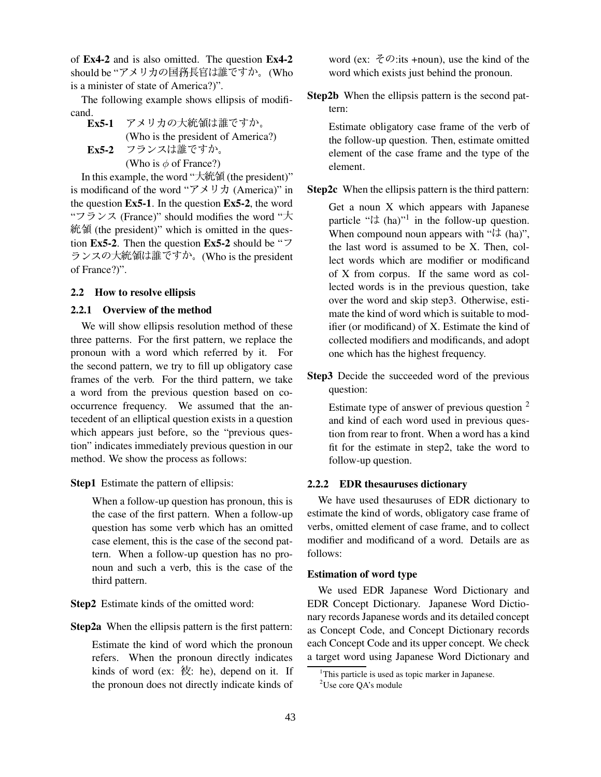of **Ex4-2** and is also omitted. The question **Ex4-2** should be "アメリカの国務長官は誰ですか。(Who is a minister of state of America?)".

The following example shows ellipsis of modificand.

 $Ex5-1$  -- (Who is the president of America?) **Ex5-2** フランスは誰ですか。 (Who is  $\phi$  of France?)

In this example, the word "大統領 (the president)" is modificand of the word " $\nabla \times \mathcal{Y} \times \mathcal{Y}$  (America)" in the question **Ex5-1**. In the question **Ex5-2**, the word " $75\lambda$  (France)" should modifies the word " $\pm$ 統領 (the president)" which is omitted in the question **Ex5-2**. Then the question **Ex5-2** should be " $\overline{2}$ " ランスの大統領は誰ですか。(Who is the president of France?)".

## **2.2 How to resolve ellipsis**

### **2.2.1 Overview of the method**

We will show ellipsis resolution method of these three patterns. For the first pattern, we replace the pronoun with a word which referred by it. For the second pattern, we try to fill up obligatory case frames of the verb. For the third pattern, we take a word from the previous question based on cooccurrence frequency. We assumed that the antecedent of an elliptical question exists in a question which appears just before, so the "previous question" indicates immediately previous question in our method. We show the process as follows:

**Step1** Estimate the pattern of ellipsis:

When a follow-up question has pronoun, this is the case of the first pattern. When a follow-up question has some verb which has an omitted case element, this is the case of the second pattern. When a follow-up question has no pronoun and such a verb, this is the case of the third pattern.

**Step2** Estimate kinds of the omitted word:

**Step2a** When the ellipsis pattern is the first pattern:

Estimate the kind of word which the pronoun refers. When the pronoun directly indicates kinds of word (ex:  $\hat{\mathcal{R}}$ : he), depend on it. If the pronoun does not directly indicate kinds of

word (ex:  $\mathcal{F}\mathcal{D}$ :its +noun), use the kind of the word which exists just behind the pronoun.

**Step2b** When the ellipsis pattern is the second pattern:

Estimate obligatory case frame of the verb of the follow-up question. Then, estimate omitted element of the case frame and the type of the element.

**Step2c** When the ellipsis pattern is the third pattern:

Get a noun X which appears with Japanese particle " $\forall$  (ha)"<sup>1</sup> in the follow-up question. When compound noun appears with " $\forall$  (ha)", the last word is assumed to be X. Then, collect words which are modifier or modificand of X from corpus. If the same word as collected words is in the previous question, take over the word and skip step3. Otherwise, estimate the kind of word which is suitable to modifier (or modificand) of X. Estimate the kind of collected modifiers and modificands, and adopt one which has the highest frequency.

**Step3** Decide the succeeded word of the previous question:

Estimate type of answer of previous question <sup>2</sup> and kind of each word used in previous question from rear to front. When a word has a kind fit for the estimate in step2, take the word to follow-up question.

### **2.2.2 EDR thesauruses dictionary**

We have used thesauruses of EDR dictionary to estimate the kind of words, obligatory case frame of verbs, omitted element of case frame, and to collect modifier and modificand of a word. Details are as follows:

### **Estimation of word type**

We used EDR Japanese Word Dictionary and EDR Concept Dictionary. Japanese Word Dictionary records Japanese words and its detailed concept as Concept Code, and Concept Dictionary records each Concept Code and its upper concept. We check a target word using Japanese Word Dictionary and

 $1$ This particle is used as topic marker in Japanese.

<sup>2</sup>Use core QA's module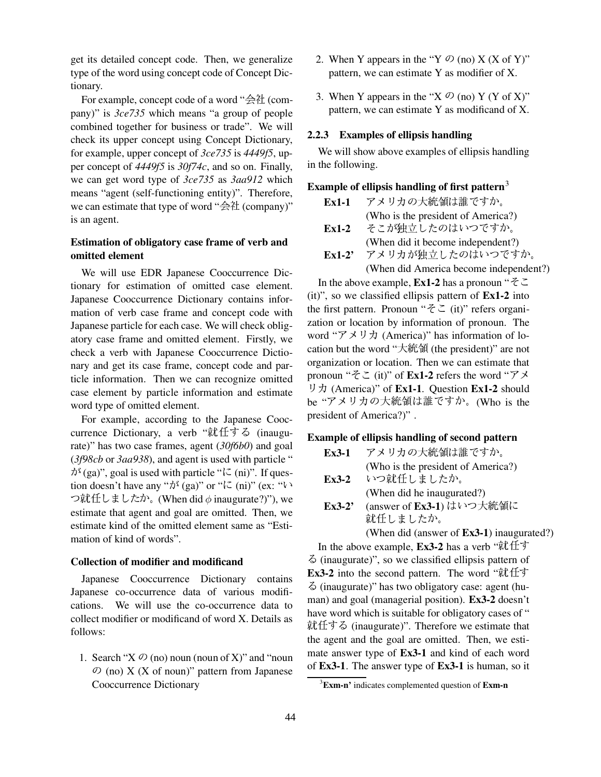get its detailed concept code. Then, we generalize type of the word using concept code of Concept Dictionary.

For example, concept code of a word " $\triangleq$   $\mathcal{H}$  (company)" is *3ce735* which means "a group of people combined together for business or trade". We will check its upper concept using Concept Dictionary, for example, upper concept of *3ce735* is *4449f5*, upper concept of *4449f5* is *30f74c*, and so on. Finally, we can get word type of *3ce735* as *3aa912* which means "agent (self-functioning entity)". Therefore, we can estimate that type of word " $\triangleq$   $\mathcal{H}$  (company)" is an agent.

# **Estimation of obligatory case frame of verb and omitted element**

We will use EDR Japanese Cooccurrence Dictionary for estimation of omitted case element. Japanese Cooccurrence Dictionary contains information of verb case frame and concept code with Japanese particle for each case. We will check obligatory case frame and omitted element. Firstly, we check a verb with Japanese Cooccurrence Dictionary and get its case frame, concept code and particle information. Then we can recognize omitted case element by particle information and estimate word type of omitted element.

For example, according to the Japanese Cooccurrence Dictionary, a verb "就任する (inaugurate)" has two case frames, agent (*30f6b0*) and goal (*3f98cb* or *3aa938*), and agent is used with particle "  $\phi^{\xi}$  (ga)", goal is used with particle " $\zeta$  (ni)". If question doesn't have any " $\lambda^3$  (ga)" or " $\lambda^2$  (ni)" (ex: " $\lambda^3$ つ就任しましたか。(When did  $\phi$  inaugurate?)"), we estimate that agent and goal are omitted. Then, we estimate kind of the omitted element same as "Estimation of kind of words".

#### **Collection of modifier and modificand**

Japanese Cooccurrence Dictionary contains Japanese co-occurrence data of various modifications. We will use the co-occurrence data to collect modifier or modificand of word X. Details as follows:

1. Search " $X$   $\mathcal{O}$  (no) noun (noun of X)" and "noun  $\mathcal{O}$  (no) X (X of noun)" pattern from Japanese Cooccurrence Dictionary

- 2. When Y appears in the "Y  $\mathcal{O}$  (no) X (X of Y)" pattern, we can estimate Y as modifier of X.
- 3. When Y appears in the "X  $\oslash$  (no) Y (Y of X)" pattern, we can estimate Y as modificand of X.

### **2.2.3 Examples of ellipsis handling**

We will show above examples of ellipsis handling in the following.

# **Example of ellipsis handling of first pattern** 3

| $Ex1-1$  | アメリカの大統領は誰ですか。                         |
|----------|----------------------------------------|
|          | (Who is the president of America?)     |
| $Ex1-2$  | そこが独立したのはいつですか。                        |
|          | (When did it become independent?)      |
| $Ex1-2'$ | アメリカが独立したのはいつですか。                      |
|          | (When did America become independent?) |

In the above example, **Ex1-2** has a pronoun " $\zeta \zeta$ (it)", so we classified ellipsis pattern of **Ex1-2** into the first pattern. Pronoun " $\zeta \zeta$ " (it)" refers organization or location by information of pronoun. The word " $\vec{y} \times \vec{y} \times (\text{America})$ " has information of location but the word "大統領 (the president)" are not organization or location. Then we can estimate that pronoun " $\zeta \zeta$ " (it)" of **Ex1-2** refers the word " $\zeta \zeta$ " ; (America)" of **Ex1-1**. Question **Ex1-2** should be "アメリカの大統領は誰ですか。(Who is the president of America?)" .

#### **Example of ellipsis handling of second pattern**

| $Ex3-1$  | アメリカの大統領は誰ですか。                                    |
|----------|---------------------------------------------------|
|          | (Who is the president of America?)                |
|          | Ex3-2 いつ就任しましたか。                                  |
|          | (When did he inaugurated?)                        |
| $Ex3-2'$ | (answer of Ex3-1) はいつ大統領に                         |
|          | 就任しましたか。                                          |
|          | (When did (answer of <b>Ex3-1</b> ) inaugurated?) |

In the above example, **Ex3-2** has a verb " $\hat{\mathbf{R}}$ " @ (inaugurate)", so we classified ellipsis pattern of **Ex3-2** into the second pattern. The word " $\hat{\mathbf{\mu}}$ " @ (inaugurate)" has two obligatory case: agent (human) and goal (managerial position). **Ex3-2** doesn't have word which is suitable for obligatory cases of " 就任する (inaugurate)". Therefore we estimate that the agent and the goal are omitted. Then, we estimate answer type of **Ex3-1** and kind of each word of **Ex3-1**. The answer type of **Ex3-1** is human, so it

<sup>3</sup>**Exm-n'** indicates complemented question of **Exm-n**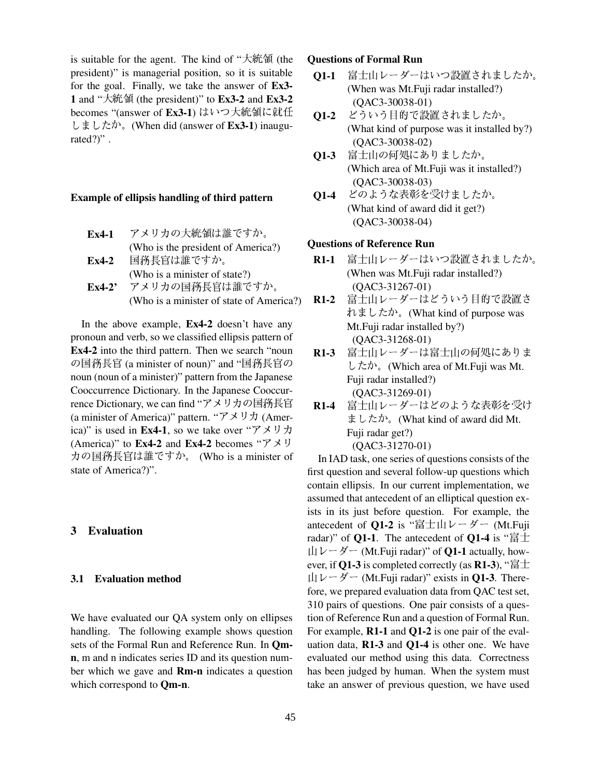is suitable for the agent. The kind of " $\pm$ 統領 (the president)" is managerial position, so it is suitable for the goal. Finally, we take the answer of **Ex3-** 1 and " $\hat{\mathcal{R}}$   $\hat{\mathcal{R}}$  (the president)" to **Ex3-2** and **Ex3-2** becomes "(answer of **Ex3-1**) はいつ大統領に就任 **O1-2** どうい >7 #" & (When did (answer of **Ex3-1**) inaugurated?)".

#### **Example of ellipsis handling of third pattern**

- $Ex4-1$  -
4?&'( (Who is the president of America?) **Ex4-2**  <del> うしい きんじょう しょうかん しょうかい しんしゃ かいしゃ かいしゃ かいしゃ</del> (Who is a minister of state?)
- $Ex4-2'$ メリカの国務長官は誰ですか。 (Who is a minister of state of America?)

In the above example, **Ex4-2** doesn't have any pronoun and verb, so we classified ellipsis pattern of **Ex4-2** into the third pattern. Then we search "noun 国務長官 (a minister of noun)" and "国務長官の した noun (noun of a minister)" pattern from the Japanese Cooccurrence Dictionary. In the Japanese Cooccurrence Dictionary, we can find "アメリカの国務長官 R1-4 (a minister of America)" pattern. " $\mathcal{F} \times \mathcal{Y} \times \mathcal{Y}$  (America)" is used in **Ex4-1**, so we take over " $\mathcal{F} \times \mathcal{F} \times \mathcal{F}$ (America)" to **Ex4-2** and **Ex4-2** becomes " $\mathcal{P} \times \mathcal{Y}$ カの国務長官は誰ですか。 (Who is a minister of state of America?)".

### **3 Evaluation**

#### **3.1 Evaluation method**

We have evaluated our QA system only on ellipses handling. The following example shows question sets of the Formal Run and Reference Run. In **Qmn**, m and n indicates series ID and its question number which we gave and **Rm-n** indicates a question which correspond to **Qm-n**.

### (the **Questions of Formal Run**

- **Q1-1** 冨士山レーダーはいつ設置されましたか。 ましたか。 (When was Mt.Fuji radar installed?) (QAC3-30038-01)
- Q1-2 どういう目的で設置されましたか。 (What kind of purpose was it installed by?) (QAC3-30038-02)
- **Q1-3** 冨士山の何処にありましたか。 (Which area of Mt.Fuji was it installed?) (QAC3-30038-03)
- $Q1-4$ のような表彰を受けましたか。 (What kind of award did it get?) (QAC3-30038-04)

## **Questions of Reference Run**

- **R1-1** 冨士山レーダーはいつ設置されましたか。 (When was Mt.Fuji radar installed?) (QAC3-31267-01)
- R1-2 富士山レーダーはどういう目的で設置さ れましたか。(What kind of purpose was Mt.Fuji radar installed by?) (QAC3-31268-01)
- **R1-3** 冨士山レーダーは冨士山の何処にありま したか。(Which area of Mt.Fuji was Mt. Fuji radar installed?) (QAC3-31269-01)
- **R1-4** 冨士山レーダーはどのような表彰を受け ましたか。(What kind of award did Mt. Fuji radar get?) (QAC3-31270-01)

In IAD task, one series of questions consists of the first question and several follow-up questions which contain ellipsis. In our current implementation, we assumed that antecedent of an elliptical question exists in its just before question. For example, the antecedent of **Q1-2** is "冨士山レーダー (Mt.Fuji radar)" of **Q1-1**. The antecedent of **Q1-4** is " $\overline{a}$ " $\pm$ "  $\mathbf{u} \triangleright$   $\mathbf{v} - \mathbf{v}$   $\mathbf{v}$  (Mt. Fuji radar)" of **Q1-1** actually, however, if **Q1-3** is completed correctly (as **R1-3**), " $\equiv \pm 1$  $\mathbf{u} \cup \mathbf{v} - \mathbf{v} - (\mathbf{M} \mathbf{v} \cdot \mathbf{F} \mathbf{u} + \mathbf{v} \cdot \mathbf{v})$  exists in **Q1-3**. Therefore, we prepared evaluation data from QAC test set, 310 pairs of questions. One pair consists of a question of Reference Run and a question of Formal Run. For example, **R1-1** and **Q1-2** is one pair of the evaluation data, **R1-3** and **Q1-4** is other one. We have evaluated our method using this data. Correctness has been judged by human. When the system must take an answer of previous question, we have used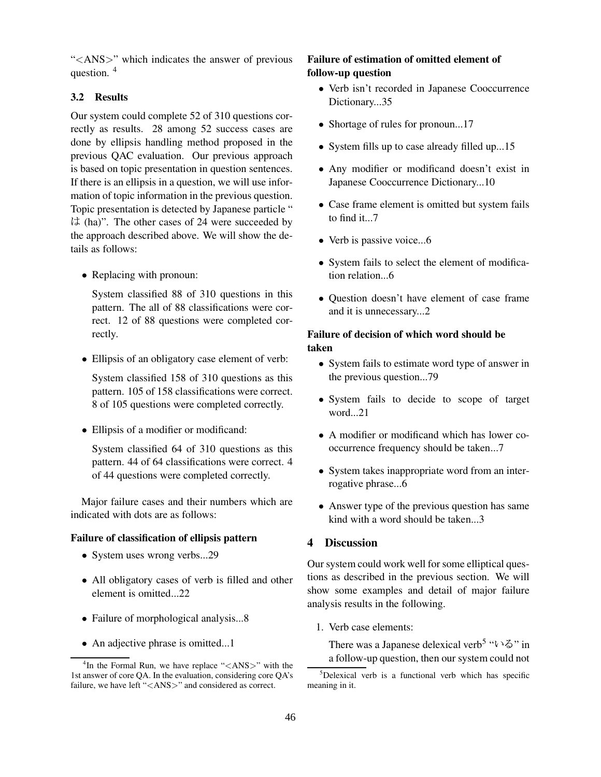"<ANS>" which indicates the answer of previous question. <sup>4</sup>

# **3.2 Results**

Our system could complete 52 of 310 questions correctly as results. 28 among 52 success cases are done by ellipsis handling method proposed in the previous QAC evaluation. Our previous approach is based on topic presentation in question sentences. If there is an ellipsis in a question, we will use information of topic information in the previous question. Topic presentation is detected by Japanese particle " (ha)". The other cases of 24 were succeeded by the approach described above. We will show the details as follows:

• Replacing with pronoun:

System classified 88 of 310 questions in this pattern. The all of 88 classifications were correct. 12 of 88 questions were completed correctly.

• Ellipsis of an obligatory case element of verb:

System classified 158 of 310 questions as this pattern. 105 of 158 classifications were correct. 8 of 105 questions were completed correctly.

• Ellipsis of a modifier or modificand:

System classified 64 of 310 questions as this pattern. 44 of 64 classifications were correct. 4 of 44 questions were completed correctly.

Major failure cases and their numbers which are indicated with dots are as follows:

# **Failure of classification of ellipsis pattern**

- System uses wrong verbs...29
- All obligatory cases of verb is filled and other element is omitted...22
- Failure of morphological analysis...8
- An adjective phrase is omitted...1

# **Failure of estimation of omitted element of follow-up question**

- Verb isn't recorded in Japanese Cooccurrence Dictionary...35
- Shortage of rules for pronoun...17
- System fills up to case already filled up...15
- Any modifier or modificand doesn't exist in Japanese Cooccurrence Dictionary...10
- Case frame element is omitted but system fails to find it...7
- Verb is passive voice...6
- System fails to select the element of modification relation...6
- Question doesn't have element of case frame and it is unnecessary...2

# **Failure of decision of which word should be taken**

- System fails to estimate word type of answer in the previous question...79
- System fails to decide to scope of target word...21
- A modifier or modificand which has lower cooccurrence frequency should be taken...7
- System takes inappropriate word from an interrogative phrase...6
- Answer type of the previous question has same kind with a word should be taken...3

# **4 Discussion**

Our system could work well for some elliptical questions as described in the previous section. We will show some examples and detail of major failure analysis results in the following.

1. Verb case elements:

There was a Japanese delexical verb<sup>5</sup> " $\iota \setminus \delta$ " in a follow-up question, then our system could not

<sup>&</sup>lt;sup>4</sup>In the Formal Run, we have replace "<ANS>" with the 1st answer of core QA. In the evaluation, considering core QA's failure, we have left "<ANS>" and considered as correct.

 $5$ Delexical verb is a functional verb which has specific meaning in it.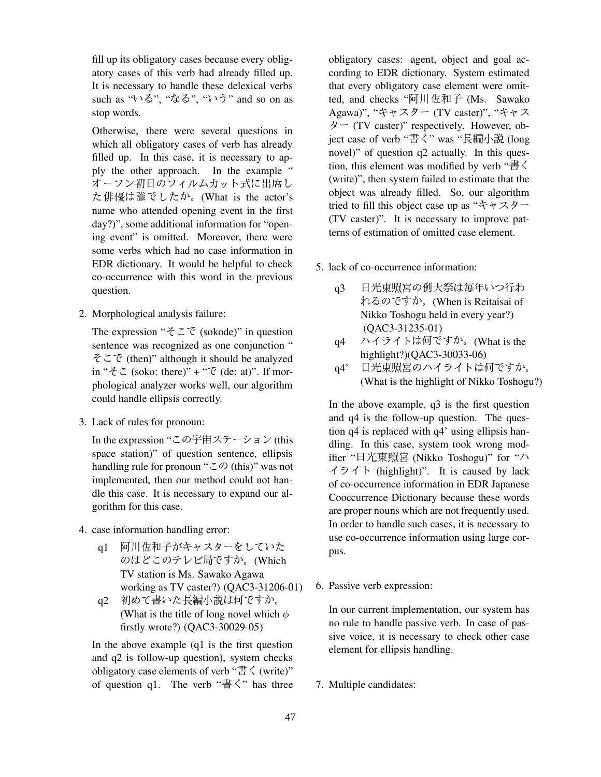fill up its obligatory cases because every obligatory cases of this verb had already filled up. It is necessary to handle these delexical verbs such as "いる", "なる", "いう" and so on as stop words.

Otherwise, there were several questions in which all obligatory cases of verb has already filled up. In this case, it is necessary to apply the other approach. In the example " オープン初日のフィルムカット式に出席し <sup>(WIII</sup> た俳優は誰でしたか。(What is the actor's name who attended opening event in the first day?)", some additional information for "opening event" is omitted. Moreover, there were some verbs which had no case information in EDR dictionary. It would be helpful to check co-occurrence with this word in the previous question.

2. Morphological analysis failure:

The expression " $\zeta \subset \zeta$  (sokode)" in question sentence was recognized as one conjunction " 7 (then)" although it should be analyzed in " $\zeta \zeta$  (soko: there)" + " $\zeta$  (de: at)". If morphological analyzer works well, our algorithm could handle ellipsis correctly.

3. Lack of rules for pronoun:

In the expression "この宇宙ステーション (this space station)" of question sentence, ellipsis handling rule for pronoun "  $\subset \mathcal{D}$  (this)" was not implemented, then our method could not handle this case. It is necessary to expand our algorithm for this case.

- 4. case information handling error:
	- q1 阿川佐和子がキャスターをしていた <sub>pus</sub> のはどこのテレビ局ですか。(Which TV station is Ms. Sawako Agawa working as TV caster?) (QAC3-31206-01)
	- q2 初めて書いた長編小説は何ですか。 (What is the title of long novel which  $\phi$ firstly wrote?) (QAC3-30029-05)

In the above example (q1 is the first question and q2 is follow-up question), system checks obligatory case elements of verb " $\stackrel{1}{\le}$   $\langle$  (write)" of question q1. The verb " $\stackrel{1}{\equiv} \stackrel{1}{\langle}$ " has three obligatory cases: agent, object and goal according to EDR dictionary. System estimated that every obligatory case element were omitted, and checks "阿川佐和子 (Ms. Sawako Agawa)", "キャスター (TV caster)", "キャス  $\dot{\varphi}$  – (TV caster)" respectively. However, object case of verb "書く" was "長編小説 (long novel)" of question q2 actually. In this question, this element was modified by verb " $\stackrel{1}{\equiv} \stackrel{\sim}{\leq}$ (write)", then system failed to estimate that the object was already filled. So, our algorithm tried to fill this object case up as " $\ddot{\tau}$  +  $\ddot{\lambda}$  X  $\ddot{\theta}$  -(TV caster)". It is necessary to improve patterns of estimation of omitted case element.

- 5. lack of co-occurrence information:
	- q3 日光東照宮の例大祭は毎年いつ行わ れるのですか。(When is Reitaisai of Nikko Toshogu held in every year?) (QAC3-31235-01)
	- q4 ハイライトは何ですか。(What is the highlight?)(QAC3-30033-06)
	- q4' 日光東照宮のハイライトは何ですか。 ― (What is the highlight of Nikko Toshogu?)

 $\sqrt{2}$  pus. In the above example, q3 is the first question and q4 is the follow-up question. The question q4 is replaced with q4' using ellipsis handling. In this case, system took wrong modifier "日光東照宮 (Nikko Toshogu)" for "ハ イライト (highlight)". It is caused by lack of co-occurrence information in EDR Japanese Cooccurrence Dictionary because these words are proper nouns which are not frequently used. In order to handle such cases, it is necessary to use co-occurrence information using large cor-

6. Passive verb expression:

In our current implementation, our system has no rule to handle passive verb. In case of passive voice, it is necessary to check other case element for ellipsis handling.

7. Multiple candidates: